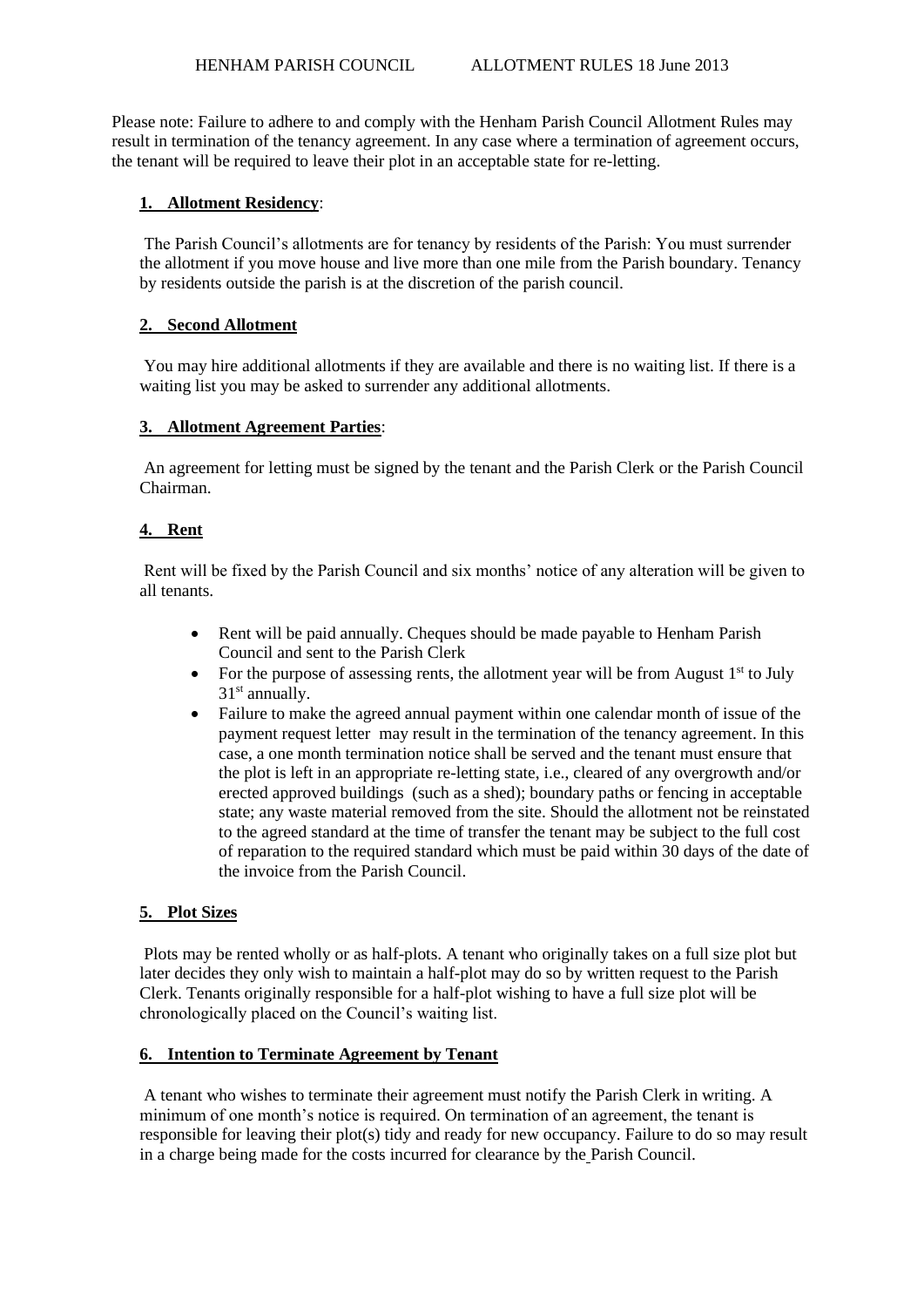Please note: Failure to adhere to and comply with the Henham Parish Council Allotment Rules may result in termination of the tenancy agreement. In any case where a termination of agreement occurs, the tenant will be required to leave their plot in an acceptable state for re-letting.

### **1. Allotment Residency**:

The Parish Council's allotments are for tenancy by residents of the Parish: You must surrender the allotment if you move house and live more than one mile from the Parish boundary. Tenancy by residents outside the parish is at the discretion of the parish council.

### **2. Second Allotment**

You may hire additional allotments if they are available and there is no waiting list. If there is a waiting list you may be asked to surrender any additional allotments.

### **3. Allotment Agreement Parties**:

An agreement for letting must be signed by the tenant and the Parish Clerk or the Parish Council Chairman.

# **4. Rent**

Rent will be fixed by the Parish Council and six months' notice of any alteration will be given to all tenants.

- Rent will be paid annually. Cheques should be made payable to Henham Parish Council and sent to the Parish Clerk
- For the purpose of assessing rents, the allotment year will be from August  $1<sup>st</sup>$  to July 31st annually.
- Failure to make the agreed annual payment within one calendar month of issue of the payment request letter may result in the termination of the tenancy agreement. In this case, a one month termination notice shall be served and the tenant must ensure that the plot is left in an appropriate re-letting state, i.e., cleared of any overgrowth and/or erected approved buildings (such as a shed); boundary paths or fencing in acceptable state; any waste material removed from the site. Should the allotment not be reinstated to the agreed standard at the time of transfer the tenant may be subject to the full cost of reparation to the required standard which must be paid within 30 days of the date of the invoice from the Parish Council.

### **5. Plot Sizes**

Plots may be rented wholly or as half-plots. A tenant who originally takes on a full size plot but later decides they only wish to maintain a half-plot may do so by written request to the Parish Clerk. Tenants originally responsible for a half-plot wishing to have a full size plot will be chronologically placed on the Council's waiting list.

### **6. Intention to Terminate Agreement by Tenant**

A tenant who wishes to terminate their agreement must notify the Parish Clerk in writing. A minimum of one month's notice is required. On termination of an agreement, the tenant is responsible for leaving their plot(s) tidy and ready for new occupancy. Failure to do so may result in a charge being made for the costs incurred for clearance by the Parish Council.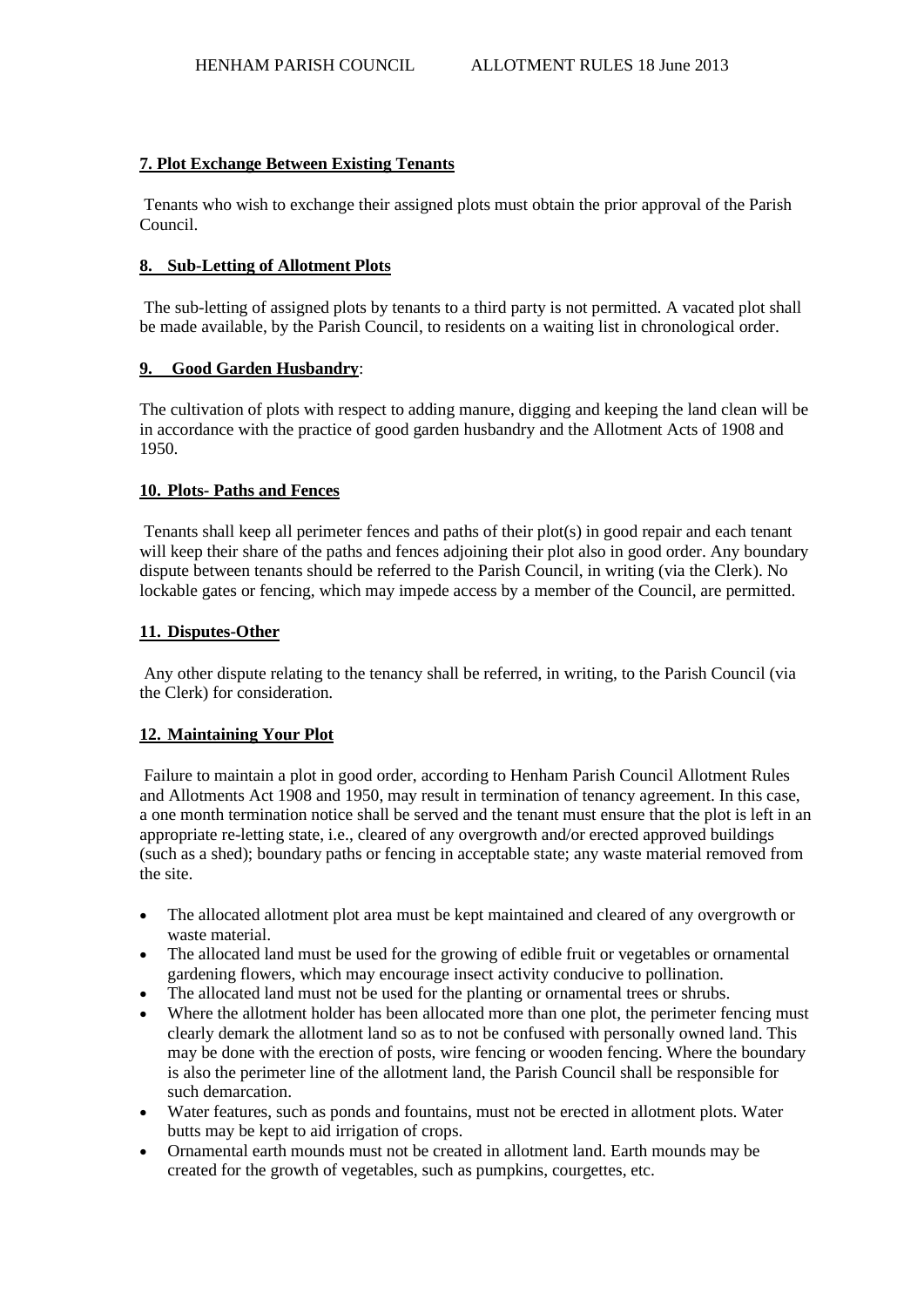## **7. Plot Exchange Between Existing Tenants**

Tenants who wish to exchange their assigned plots must obtain the prior approval of the Parish Council.

### **8. Sub-Letting of Allotment Plots**

The sub-letting of assigned plots by tenants to a third party is not permitted. A vacated plot shall be made available, by the Parish Council, to residents on a waiting list in chronological order.

### **9. Good Garden Husbandry**:

The cultivation of plots with respect to adding manure, digging and keeping the land clean will be in accordance with the practice of good garden husbandry and the Allotment Acts of 1908 and 1950.

### **10. Plots- Paths and Fences**

Tenants shall keep all perimeter fences and paths of their plot(s) in good repair and each tenant will keep their share of the paths and fences adjoining their plot also in good order. Any boundary dispute between tenants should be referred to the Parish Council, in writing (via the Clerk). No lockable gates or fencing, which may impede access by a member of the Council, are permitted.

### **11. Disputes-Other**

Any other dispute relating to the tenancy shall be referred, in writing, to the Parish Council (via the Clerk) for consideration.

### **12. Maintaining Your Plot**

Failure to maintain a plot in good order, according to Henham Parish Council Allotment Rules and Allotments Act 1908 and 1950, may result in termination of tenancy agreement. In this case, a one month termination notice shall be served and the tenant must ensure that the plot is left in an appropriate re-letting state, i.e., cleared of any overgrowth and/or erected approved buildings (such as a shed); boundary paths or fencing in acceptable state; any waste material removed from the site.

- The allocated allotment plot area must be kept maintained and cleared of any overgrowth or waste material.
- The allocated land must be used for the growing of edible fruit or vegetables or ornamental gardening flowers, which may encourage insect activity conducive to pollination.
- The allocated land must not be used for the planting or ornamental trees or shrubs.
- Where the allotment holder has been allocated more than one plot, the perimeter fencing must clearly demark the allotment land so as to not be confused with personally owned land. This may be done with the erection of posts, wire fencing or wooden fencing. Where the boundary is also the perimeter line of the allotment land, the Parish Council shall be responsible for such demarcation.
- Water features, such as ponds and fountains, must not be erected in allotment plots. Water butts may be kept to aid irrigation of crops.
- Ornamental earth mounds must not be created in allotment land. Earth mounds may be created for the growth of vegetables, such as pumpkins, courgettes, etc.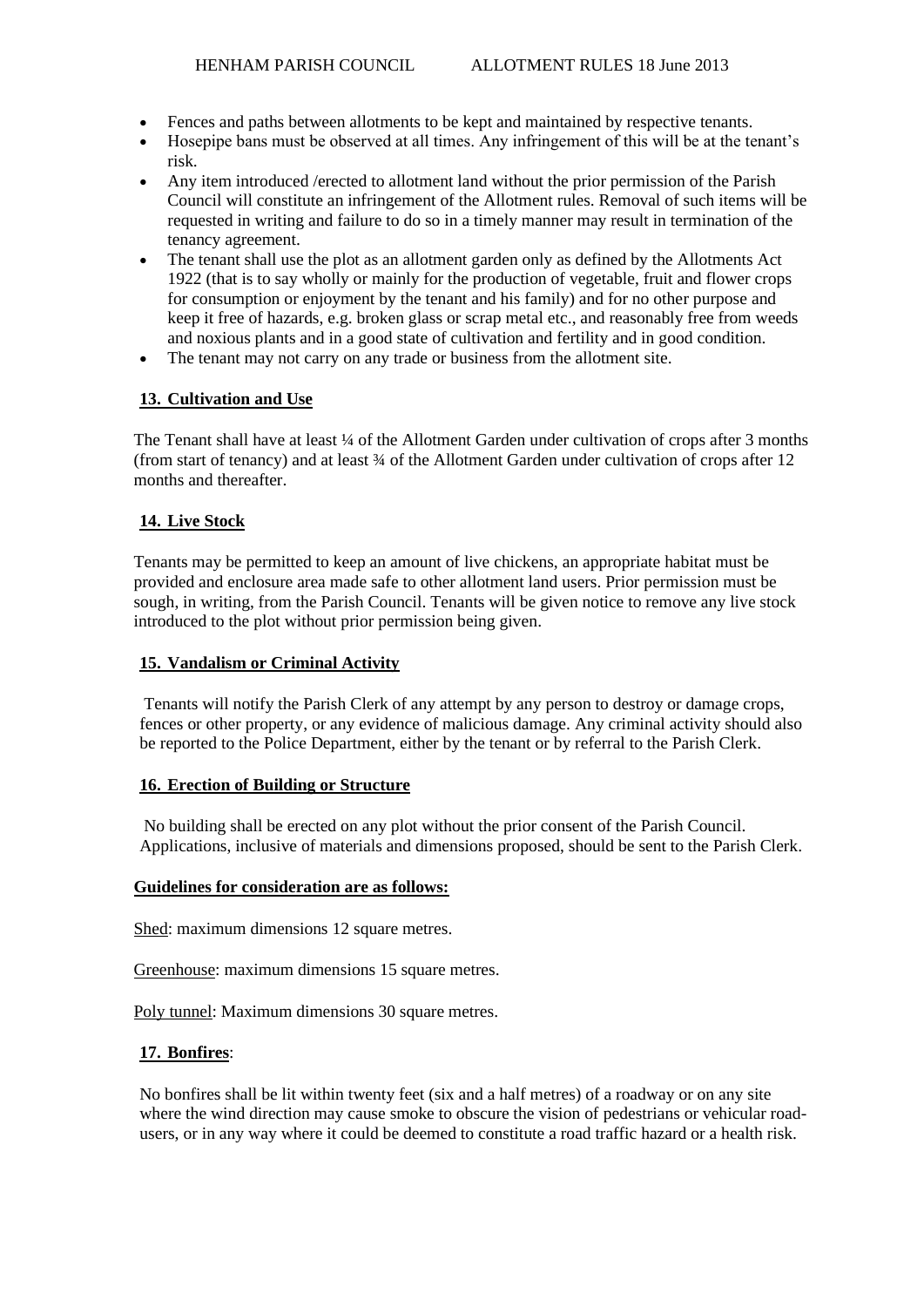- Fences and paths between allotments to be kept and maintained by respective tenants.
- Hosepipe bans must be observed at all times. Any infringement of this will be at the tenant's risk.
- Any item introduced /erected to allotment land without the prior permission of the Parish Council will constitute an infringement of the Allotment rules. Removal of such items will be requested in writing and failure to do so in a timely manner may result in termination of the tenancy agreement.
- The tenant shall use the plot as an allotment garden only as defined by the Allotments Act 1922 (that is to say wholly or mainly for the production of vegetable, fruit and flower crops for consumption or enjoyment by the tenant and his family) and for no other purpose and keep it free of hazards, e.g. broken glass or scrap metal etc., and reasonably free from weeds and noxious plants and in a good state of cultivation and fertility and in good condition.
- The tenant may not carry on any trade or business from the allotment site.

## **13. Cultivation and Use**

The Tenant shall have at least  $\frac{1}{4}$  of the Allotment Garden under cultivation of crops after 3 months (from start of tenancy) and at least ¾ of the Allotment Garden under cultivation of crops after 12 months and thereafter.

# **14. Live Stock**

Tenants may be permitted to keep an amount of live chickens, an appropriate habitat must be provided and enclosure area made safe to other allotment land users. Prior permission must be sough, in writing, from the Parish Council. Tenants will be given notice to remove any live stock introduced to the plot without prior permission being given.

## **15. Vandalism or Criminal Activity**

Tenants will notify the Parish Clerk of any attempt by any person to destroy or damage crops, fences or other property, or any evidence of malicious damage. Any criminal activity should also be reported to the Police Department, either by the tenant or by referral to the Parish Clerk.

## **16. Erection of Building or Structure**

No building shall be erected on any plot without the prior consent of the Parish Council. Applications, inclusive of materials and dimensions proposed, should be sent to the Parish Clerk.

### **Guidelines for consideration are as follows:**

Shed: maximum dimensions 12 square metres.

Greenhouse: maximum dimensions 15 square metres.

Poly tunnel: Maximum dimensions 30 square metres.

## **17. Bonfires**:

No bonfires shall be lit within twenty feet (six and a half metres) of a roadway or on any site where the wind direction may cause smoke to obscure the vision of pedestrians or vehicular roadusers, or in any way where it could be deemed to constitute a road traffic hazard or a health risk.